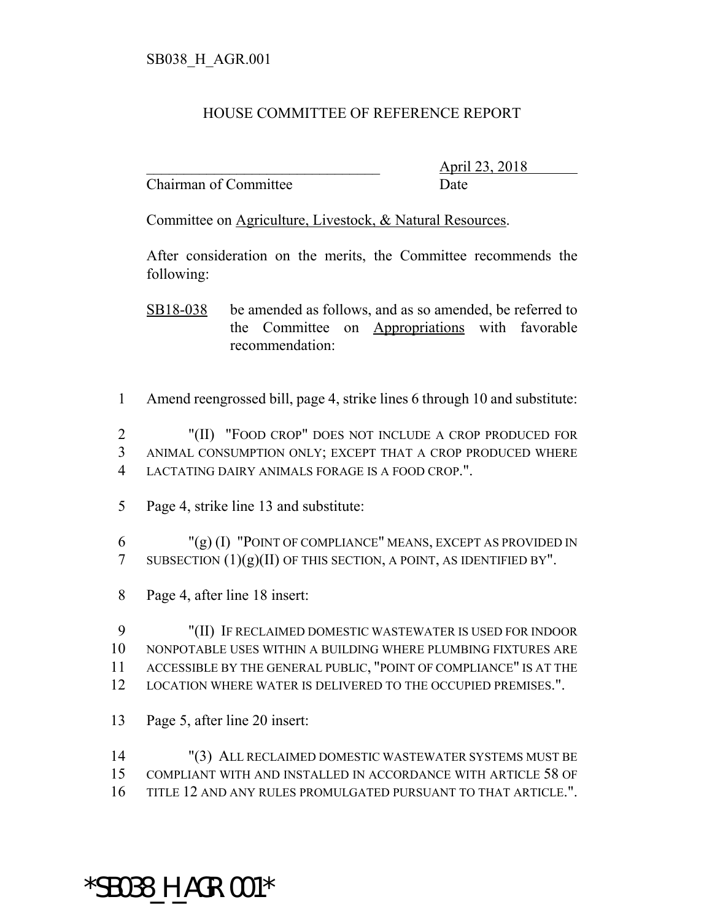## HOUSE COMMITTEE OF REFERENCE REPORT

Chairman of Committee Date

\_\_\_\_\_\_\_\_\_\_\_\_\_\_\_\_\_\_\_\_\_\_\_\_\_\_\_\_\_\_\_ April 23, 2018

Committee on Agriculture, Livestock, & Natural Resources.

After consideration on the merits, the Committee recommends the following:

SB18-038 be amended as follows, and as so amended, be referred to the Committee on Appropriations with favorable recommendation:

1 Amend reengrossed bill, page 4, strike lines 6 through 10 and substitute:

2 "(II) "FOOD CROP" DOES NOT INCLUDE A CROP PRODUCED FOR 3 ANIMAL CONSUMPTION ONLY; EXCEPT THAT A CROP PRODUCED WHERE 4 LACTATING DAIRY ANIMALS FORAGE IS A FOOD CROP.".

5 Page 4, strike line 13 and substitute:

6 "(g) (I) "POINT OF COMPLIANCE" MEANS, EXCEPT AS PROVIDED IN 7 SUBSECTION  $(1)(g)(II)$  OF THIS SECTION, A POINT, AS IDENTIFIED BY".

8 Page 4, after line 18 insert:

 "(II) IF RECLAIMED DOMESTIC WASTEWATER IS USED FOR INDOOR NONPOTABLE USES WITHIN A BUILDING WHERE PLUMBING FIXTURES ARE ACCESSIBLE BY THE GENERAL PUBLIC, "POINT OF COMPLIANCE" IS AT THE LOCATION WHERE WATER IS DELIVERED TO THE OCCUPIED PREMISES.".

13 Page 5, after line 20 insert:

14 "(3) ALL RECLAIMED DOMESTIC WASTEWATER SYSTEMS MUST BE 15 COMPLIANT WITH AND INSTALLED IN ACCORDANCE WITH ARTICLE 58 OF 16 TITLE 12 AND ANY RULES PROMULGATED PURSUANT TO THAT ARTICLE.".

## \*SB038\_H\_AGR.001\*